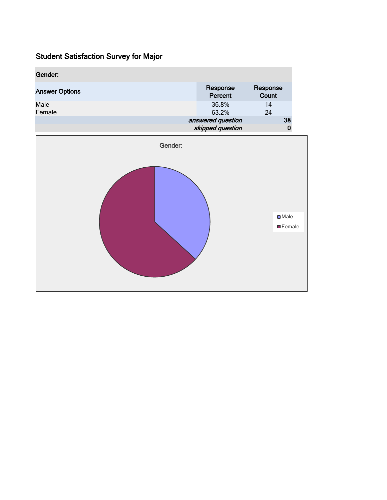| Gender:               |         |                                       |                   |
|-----------------------|---------|---------------------------------------|-------------------|
| <b>Answer Options</b> |         | Response<br>Percent                   | Response<br>Count |
| Male<br>Female        |         | 36.8%<br>63.2%                        | 14<br>24          |
|                       |         | answered question<br>skipped question | 38<br>0           |
|                       | Gender: |                                       |                   |
|                       |         |                                       |                   |
|                       |         |                                       | $\square$ Male    |

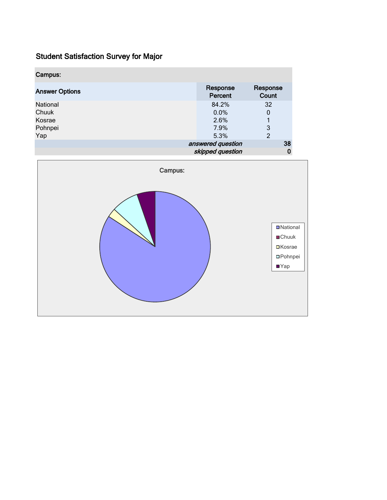| Campus:               |                     |                   |    |
|-----------------------|---------------------|-------------------|----|
| <b>Answer Options</b> | Response<br>Percent | Response<br>Count |    |
| National              | 84.2%               | 32                |    |
| Chuuk                 | 0.0%                | 0                 |    |
| Kosrae                | 2.6%                |                   |    |
| Pohnpei               | 7.9%                | 3                 |    |
| Yap                   | 5.3%                | $\overline{2}$    |    |
|                       | answered question   |                   | 38 |
|                       | skipped question    |                   | 0  |

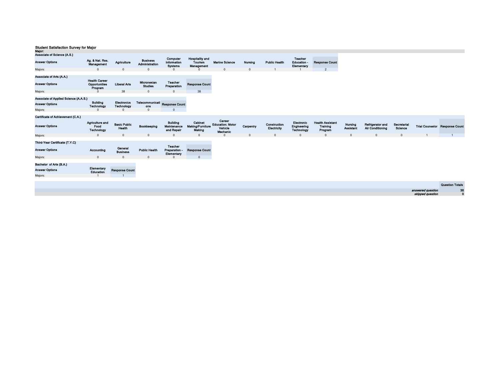| major:                                            |                                                  |                               |                                   |                                              |                                                 |                                                          |              |                             |                                                  |                                                |                             |                                             |                        |                   |                                       |
|---------------------------------------------------|--------------------------------------------------|-------------------------------|-----------------------------------|----------------------------------------------|-------------------------------------------------|----------------------------------------------------------|--------------|-----------------------------|--------------------------------------------------|------------------------------------------------|-----------------------------|---------------------------------------------|------------------------|-------------------|---------------------------------------|
| Associate of Science (A.S.)                       |                                                  |                               |                                   |                                              |                                                 |                                                          |              |                             |                                                  |                                                |                             |                                             |                        |                   |                                       |
| <b>Answer Options</b>                             | Ag. & Nat. Res.<br>Management                    | Agriculture                   | <b>Business</b><br>Administration | Computer<br>Information<br><b>Systems</b>    | <b>Hospitality and</b><br>Tourism<br>Management | <b>Marine Science</b>                                    | Nursing      | <b>Public Health</b>        | <b>Teacher</b><br><b>Education</b><br>Elementary | <b>Response Count</b>                          |                             |                                             |                        |                   |                                       |
| Majors:                                           | $\mathbf{0}$                                     | $\Omega$                      |                                   | $\Omega$                                     |                                                 |                                                          | $\mathbf{0}$ |                             |                                                  | $\overline{2}$                                 |                             |                                             |                        |                   |                                       |
| Associate of Arts (A.A.)<br><b>Answer Options</b> | <b>Health Career</b><br>Opportunities<br>Program | <b>Liberal Arts</b>           | Micronesian<br><b>Studies</b>     | Teacher<br>Preparation                       | <b>Response Count</b>                           |                                                          |              |                             |                                                  |                                                |                             |                                             |                        |                   |                                       |
| Majors:                                           |                                                  | 38                            | $\Omega$                          | $\overline{0}$                               | 38                                              |                                                          |              |                             |                                                  |                                                |                             |                                             |                        |                   |                                       |
|                                                   |                                                  |                               |                                   |                                              |                                                 |                                                          |              |                             |                                                  |                                                |                             |                                             |                        |                   |                                       |
| Associate of Applied Science (A.A.S.)             |                                                  |                               |                                   |                                              |                                                 |                                                          |              |                             |                                                  |                                                |                             |                                             |                        |                   |                                       |
| <b>Answer Options</b>                             | <b>Building</b><br>Technology                    | Electronics<br>Technology     | Telecommunicati<br>ons            | <b>Response Count</b>                        |                                                 |                                                          |              |                             |                                                  |                                                |                             |                                             |                        |                   |                                       |
| Majors:                                           |                                                  |                               | $\Omega$                          | $\Omega$                                     |                                                 |                                                          |              |                             |                                                  |                                                |                             |                                             |                        |                   |                                       |
|                                                   |                                                  |                               |                                   |                                              |                                                 |                                                          |              |                             |                                                  |                                                |                             |                                             |                        |                   |                                       |
| Certificate of Achievement (C.A.)                 |                                                  |                               |                                   |                                              |                                                 |                                                          |              |                             |                                                  |                                                |                             |                                             |                        |                   |                                       |
| <b>Answer Options</b>                             | Agriculture and<br>Food<br><b>Technology</b>     | <b>Basic Public</b><br>Health | Bookkeeping                       | <b>Building</b><br>Maintenance<br>and Repair | Cabinet<br><b>Making/Furniture</b><br>Making    | Career<br><b>Education: Motor</b><br>Vehicle<br>Mechanic | Carpentry    | Construction<br>Electricity | Electronic<br>Engineering<br>Technology          | <b>Health Assistant</b><br>Training<br>Program | Nursing<br><b>Assistant</b> | Refrigerator and<br><b>Air Conditioning</b> | Secretarial<br>Science |                   | <b>Trial Counselor Response Count</b> |
| Majors:                                           | $\Omega$                                         | $\Omega$                      |                                   | $\Omega$                                     | $\Omega$                                        |                                                          | $\Omega$     | $\Omega$                    | $\Omega$                                         | $\Omega$                                       | $\Omega$                    | $\Omega$                                    | $\Omega$               |                   |                                       |
|                                                   |                                                  |                               |                                   |                                              |                                                 |                                                          |              |                             |                                                  |                                                |                             |                                             |                        |                   |                                       |
| Third-Year Certificate (T.Y.C)                    |                                                  |                               |                                   |                                              |                                                 |                                                          |              |                             |                                                  |                                                |                             |                                             |                        |                   |                                       |
| <b>Answer Options</b>                             | Accounting                                       | General<br><b>Business</b>    | <b>Public Health</b>              | Teacher<br>Preparation -<br>Elementary       | <b>Response Count</b>                           |                                                          |              |                             |                                                  |                                                |                             |                                             |                        |                   |                                       |
| Majors:                                           | $\mathbf{0}$                                     | $\Omega$                      |                                   | $\Omega$                                     | $\mathbf{0}$                                    |                                                          |              |                             |                                                  |                                                |                             |                                             |                        |                   |                                       |
|                                                   |                                                  |                               |                                   |                                              |                                                 |                                                          |              |                             |                                                  |                                                |                             |                                             |                        |                   |                                       |
| Bachelor of Arts (B.A.)                           |                                                  |                               |                                   |                                              |                                                 |                                                          |              |                             |                                                  |                                                |                             |                                             |                        |                   |                                       |
| <b>Answer Options</b>                             | Elementary<br>Education                          | <b>Response Count</b>         |                                   |                                              |                                                 |                                                          |              |                             |                                                  |                                                |                             |                                             |                        |                   |                                       |
| Majors:                                           |                                                  |                               |                                   |                                              |                                                 |                                                          |              |                             |                                                  |                                                |                             |                                             |                        |                   |                                       |
|                                                   |                                                  |                               |                                   |                                              |                                                 |                                                          |              |                             |                                                  |                                                |                             |                                             |                        |                   |                                       |
|                                                   |                                                  |                               |                                   |                                              |                                                 |                                                          |              |                             |                                                  |                                                |                             |                                             |                        |                   | <b>Question Totals</b>                |
|                                                   |                                                  |                               |                                   |                                              |                                                 |                                                          |              |                             |                                                  |                                                |                             |                                             |                        | answered question | 38                                    |
|                                                   |                                                  |                               |                                   |                                              |                                                 |                                                          |              |                             |                                                  |                                                |                             |                                             |                        | skipped question  | $\mathbf{0}$                          |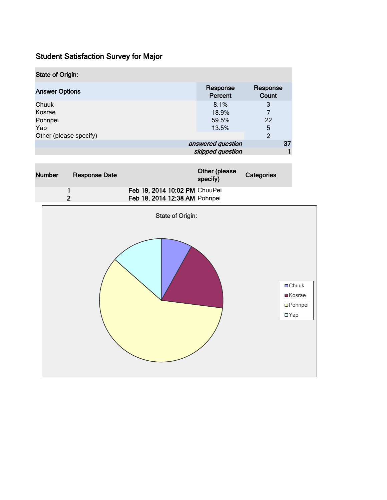| <b>State of Origin:</b> |                     |                   |
|-------------------------|---------------------|-------------------|
| <b>Answer Options</b>   | Response<br>Percent | Response<br>Count |
| Chuuk                   | 8.1%                | 3                 |
| Kosrae                  | 18.9%               | 7                 |
| Pohnpei                 | 59.5%               | 22                |
| Yap                     | 13.5%               | 5                 |
| Other (please specify)  |                     | 2                 |
|                         | answered question   | 37                |
|                         | skipped question    |                   |